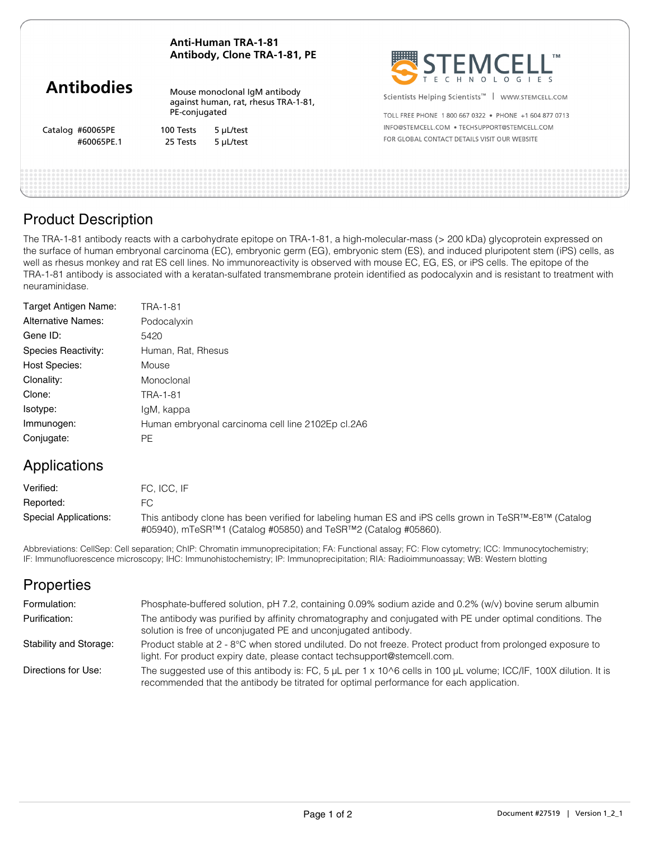### **Anti-Human TRA-1-81 Antibody, Clone TRA-1-81, PE**

Mouse monoclonal IgM antibody against human, rat, rhesus TRA-1-81, PE-conjugated

Catalog #60065PE

100 Tests 5 μL/test #60065PE.1 25 Tests 5 μL/test



Scientists Helping Scientists<sup>™</sup> | WWW.STEMCELL.COM

TOLL FREE PHONE 1 800 667 0322 · PHONE +1 604 877 0713 INFO@STEMCELL.COM . TECHSUPPORT@STEMCELL.COM FOR GLOBAL CONTACT DETAILS VISIT OUR WERSITE

## Product Description

The TRA-1-81 antibody reacts with a carbohydrate epitope on TRA-1-81, a high-molecular-mass (> 200 kDa) glycoprotein expressed on the surface of human embryonal carcinoma (EC), embryonic germ (EG), embryonic stem (ES), and induced pluripotent stem (iPS) cells, as well as rhesus monkey and rat ES cell lines. No immunoreactivity is observed with mouse EC, EG, ES, or iPS cells. The epitope of the TRA-1-81 antibody is associated with a keratan-sulfated transmembrane protein identified as podocalyxin and is resistant to treatment with neuraminidase.

| Target Antigen Name:      | TRA-1-81                                          |
|---------------------------|---------------------------------------------------|
| <b>Alternative Names:</b> | Podocalyxin                                       |
| Gene ID:                  | 5420                                              |
| Species Reactivity:       | Human, Rat, Rhesus                                |
| <b>Host Species:</b>      | Mouse                                             |
| Clonality:                | Monoclonal                                        |
| Clone:                    | TRA-1-81                                          |
| Isotype:                  | IgM, kappa                                        |
| Immunogen:                | Human embryonal carcinoma cell line 2102Ep cl.2A6 |
| Conjugate:                | <b>PE</b>                                         |

# Applications

| Verified:             | FC. ICC. IF                                                                                                                                                                                        |
|-----------------------|----------------------------------------------------------------------------------------------------------------------------------------------------------------------------------------------------|
| Reported:             | FC.                                                                                                                                                                                                |
| Special Applications: | This antibody clone has been verified for labeling human ES and iPS cells grown in TeSR <sup>TM</sup> -E8 <sup>TM</sup> (Catalog<br>#05940), mTeSR™1 (Catalog #05850) and TeSR™2 (Catalog #05860). |

Abbreviations: CellSep: Cell separation; ChIP: Chromatin immunoprecipitation; FA: Functional assay; FC: Flow cytometry; ICC: Immunocytochemistry; IF: Immunofluorescence microscopy; IHC: Immunohistochemistry; IP: Immunoprecipitation; RIA: Radioimmunoassay; WB: Western blotting

# **Properties**

| Formulation:           | Phosphate-buffered solution, pH 7.2, containing 0.09% sodium azide and 0.2% (w/v) bovine serum albumin                                                                                                                         |
|------------------------|--------------------------------------------------------------------------------------------------------------------------------------------------------------------------------------------------------------------------------|
| Purification:          | The antibody was purified by affinity chromatography and conjugated with PE under optimal conditions. The<br>solution is free of unconjugated PE and unconjugated antibody.                                                    |
| Stability and Storage: | Product stable at 2 - 8°C when stored undiluted. Do not freeze. Protect product from prolonged exposure to<br>light. For product expiry date, please contact techsupport@stemcell.com.                                         |
| Directions for Use:    | The suggested use of this antibody is: FC, 5 $\mu$ L per 1 x 10 $\land$ 6 cells in 100 $\mu$ L volume; ICC/IF, 100X dilution. It is<br>recommended that the antibody be titrated for optimal performance for each application. |